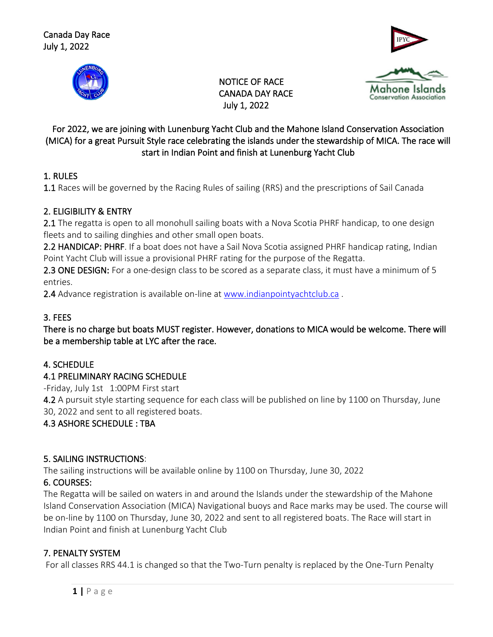





 NOTICE OF RACE CANADA DAY RACE July 1, 2022

### For 2022, we are joining with Lunenburg Yacht Club and the Mahone Island Conservation Association (MICA) for a great Pursuit Style race celebrating the islands under the stewardship of MICA. The race will start in Indian Point and finish at Lunenburg Yacht Club

# 1. RULES

1.1 Races will be governed by the Racing Rules of sailing (RRS) and the prescriptions of Sail Canada

### 2. ELIGIBILITY & ENTRY

2.1 The regatta is open to all monohull sailing boats with a Nova Scotia PHRF handicap, to one design fleets and to sailing dinghies and other small open boats.

2.2 HANDICAP: PHRF. If a boat does not have a Sail Nova Scotia assigned PHRF handicap rating, Indian Point Yacht Club will issue a provisional PHRF rating for the purpose of the Regatta.

2.3 ONE DESIGN: For a one-design class to be scored as a separate class, it must have a minimum of 5 entries.

2.4 Advance registration is available on-line at [www.indianpointyachtclub.ca](http://www.indianpointyachtclub.ca/).

## 3. FEES

There is no charge but boats MUST register. However, donations to MICA would be welcome. There will be a membership table at LYC after the race.

### 4. SCHEDULE

### 4.1 PRELIMINARY RACING SCHEDULE

-Friday, July 1st 1:00PM First start

4.2 A pursuit style starting sequence for each class will be published on line by 1100 on Thursday, June 30, 2022 and sent to all registered boats.

# 4.3 ASHORE SCHEDULE : TBA

### 5. SAILING INSTRUCTIONS:

The sailing instructions will be available online by 1100 on Thursday, June 30, 2022

# 6. COURSES:

The Regatta will be sailed on waters in and around the Islands under the stewardship of the Mahone Island Conservation Association (MICA) Navigational buoys and Race marks may be used. The course will be on-line by 1100 on Thursday, June 30, 2022 and sent to all registered boats. The Race will start in Indian Point and finish at Lunenburg Yacht Club

# 7. PENALTY SYSTEM

For all classes RRS 44.1 is changed so that the Two-Turn penalty is replaced by the One-Turn Penalty